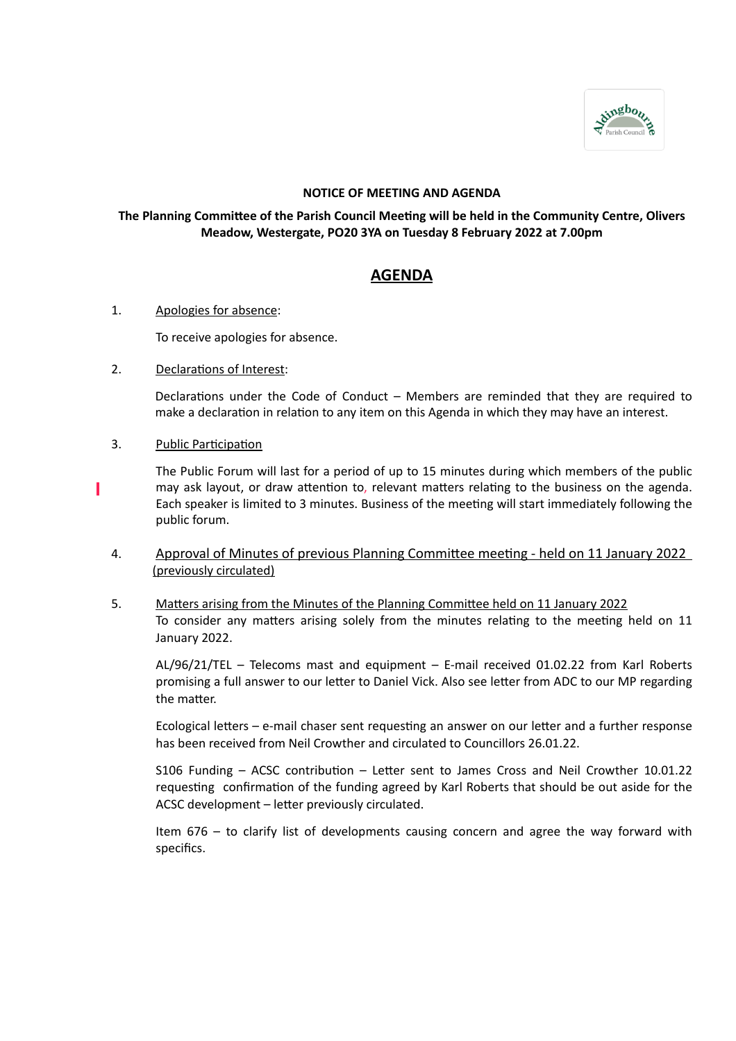

### **NOTICE OF MEETING AND AGENDA**

## **The Planning Committee of the Parish Council Meeting will be held in the Community Centre, Olivers Meadow, Westergate, PO20 3YA on Tuesday 8 February 2022 at 7.00pm**

# **AGENDA**

### 1. Apologies for absence:

To receive apologies for absence.

# 2. Declarations of Interest:

Declarations under the Code of Conduct – Members are reminded that they are required to make a declaration in relation to any item on this Agenda in which they may have an interest.

# 3. Public Participation

ı

The Public Forum will last for a period of up to 15 minutes during which members of the public may ask layout, or draw attention to, relevant matters relating to the business on the agenda. Each speaker is limited to 3 minutes. Business of the meeting will start immediately following the public forum.

# 4. Approval of Minutes of previous Planning Committee meeting - held on 11 January 2022 (previously circulated)

5. Matters arising from the Minutes of the Planning Committee held on 11 January 2022 To consider any matters arising solely from the minutes relating to the meeting held on 11 January 2022.

AL/96/21/TEL – Telecoms mast and equipment – E-mail received 01.02.22 from Karl Roberts promising a full answer to our letter to Daniel Vick. Also see letter from ADC to our MP regarding the matter.

Ecological letters – e-mail chaser sent requesting an answer on our letter and a further response has been received from Neil Crowther and circulated to Councillors 26.01.22.

S106 Funding – ACSC contribution – Letter sent to James Cross and Neil Crowther 10.01.22 requesting confirmation of the funding agreed by Karl Roberts that should be out aside for the ACSC development – letter previously circulated.

Item 676 – to clarify list of developments causing concern and agree the way forward with specifics.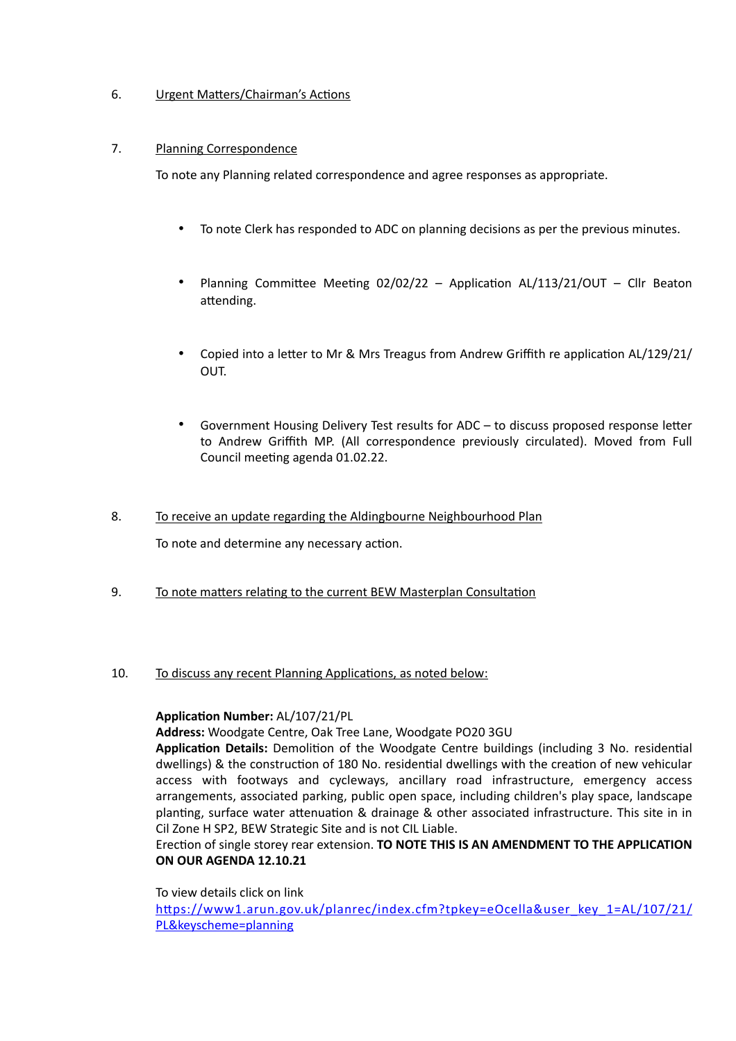# 6. Urgent Matters/Chairman's Actions

# 7. Planning Correspondence

To note any Planning related correspondence and agree responses as appropriate.

- To note Clerk has responded to ADC on planning decisions as per the previous minutes.
- Planning Committee Meeting 02/02/22 Application AL/113/21/OUT Cllr Beaton attending.
- Copied into a letter to Mr & Mrs Treagus from Andrew Griffith re application AL/129/21/ OUT.
- Government Housing Delivery Test results for ADC to discuss proposed response letter to Andrew Griffith MP. (All correspondence previously circulated). Moved from Full Council meeting agenda 01.02.22.
- 8. To receive an update regarding the Aldingbourne Neighbourhood Plan

To note and determine any necessary action.

9. To note matters relating to the current BEW Masterplan Consultation

### 10. To discuss any recent Planning Applications, as noted below:

### **Application Number:** AL/107/21/PL

**Address:** Woodgate Centre, Oak Tree Lane, Woodgate PO20 3GU

**Application Details:** Demolition of the Woodgate Centre buildings (including 3 No. residential dwellings) & the construction of 180 No. residential dwellings with the creation of new vehicular access with footways and cycleways, ancillary road infrastructure, emergency access arrangements, associated parking, public open space, including children's play space, landscape planting, surface water attenuation & drainage & other associated infrastructure. This site in in Cil Zone H SP2, BEW Strategic Site and is not CIL Liable.

# Erection of single storey rear extension. **TO NOTE THIS IS AN AMENDMENT TO THE APPLICATION ON OUR AGENDA 12.10.21**

To view details click on link [https://www1.arun.gov.uk/planrec/index.cfm?tpkey=eOcella&user\\_key\\_1=AL/107/21/](https://www1.arun.gov.uk/planrec/index.cfm?tpkey=eOcella&user_key_1=AL/107/21/PL&keyscheme=planning) [PL&keyscheme=planning](https://www1.arun.gov.uk/planrec/index.cfm?tpkey=eOcella&user_key_1=AL/107/21/PL&keyscheme=planning)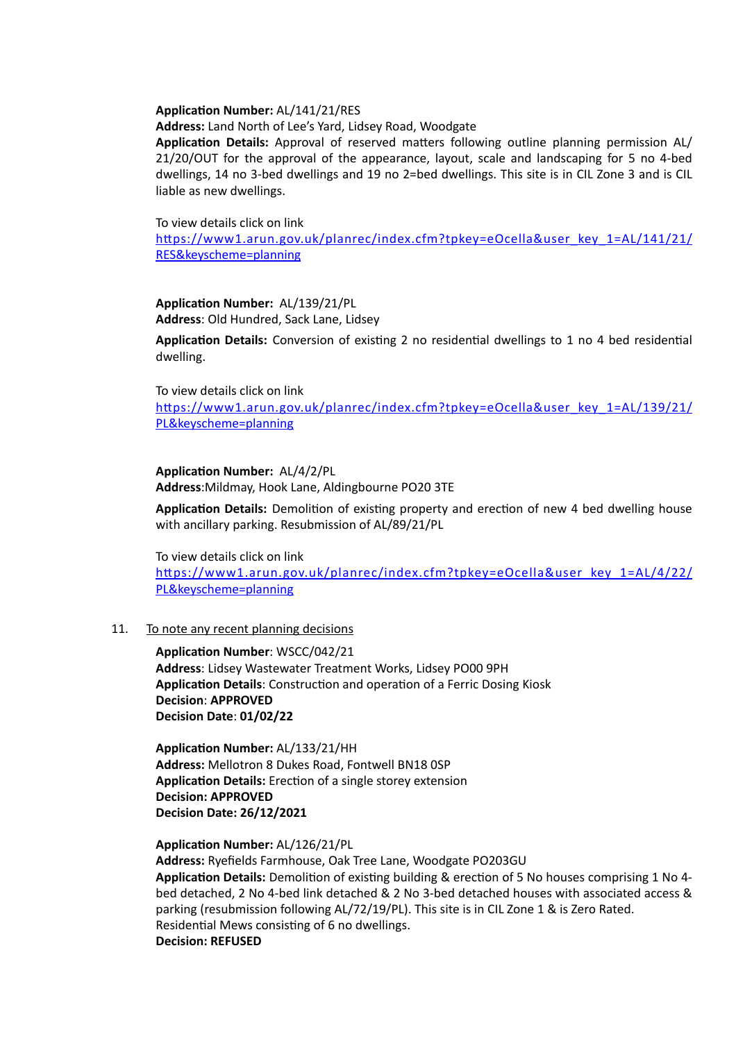#### **Application Number:** AL/141/21/RES

**Address:** Land North of Lee's Yard, Lidsey Road, Woodgate

**Application Details:** Approval of reserved matters following outline planning permission AL/ 21/20/OUT for the approval of the appearance, layout, scale and landscaping for 5 no 4-bed dwellings, 14 no 3-bed dwellings and 19 no 2=bed dwellings. This site is in CIL Zone 3 and is CIL liable as new dwellings.

#### To view details click on link

[https://www1.arun.gov.uk/planrec/index.cfm?tpkey=eOcella&user\\_key\\_1=AL/141/21/](https://www1.arun.gov.uk/planrec/index.cfm?tpkey=eOcella&user_key_1=AL/141/21/RES&keyscheme=planning) [RES&keyscheme=planning](https://www1.arun.gov.uk/planrec/index.cfm?tpkey=eOcella&user_key_1=AL/141/21/RES&keyscheme=planning)

#### **Application Number:** AL/139/21/PL **Address**: Old Hundred, Sack Lane, Lidsey

**Application Details:** Conversion of existing 2 no residential dwellings to 1 no 4 bed residential dwelling.

#### To view details click on link

[https://www1.arun.gov.uk/planrec/index.cfm?tpkey=eOcella&user\\_key\\_1=AL/139/21/](https://www1.arun.gov.uk/planrec/index.cfm?tpkey=eOcella&user_key_1=AL/139/21/PL&keyscheme=planning) [PL&keyscheme=planning](https://www1.arun.gov.uk/planrec/index.cfm?tpkey=eOcella&user_key_1=AL/139/21/PL&keyscheme=planning)

#### **Application Number:** AL/4/2/PL

**Address**:Mildmay, Hook Lane, Aldingbourne PO20 3TE

**Application Details:** Demolition of existing property and erection of new 4 bed dwelling house with ancillary parking. Resubmission of AL/89/21/PL

#### To view details click on link

[https://www1.arun.gov.uk/planrec/index.cfm?tpkey=eOcella&user\\_key\\_1=AL/4/22/](https://www1.arun.gov.uk/planrec/index.cfm?tpkey=eOcella&user_key_1=AL/4/22/PL&keyscheme=planning) [PL&keyscheme=planning](https://www1.arun.gov.uk/planrec/index.cfm?tpkey=eOcella&user_key_1=AL/4/22/PL&keyscheme=planning)

#### 11. To note any recent planning decisions

**Application Number**: WSCC/042/21 **Address**: Lidsey Wastewater Treatment Works, Lidsey PO00 9PH **Application Details**: Construction and operation of a Ferric Dosing Kiosk **Decision**: **APPROVED Decision Date**: **01/02/22**

**Application Number:** AL/133/21/HH **Address:** Mellotron 8 Dukes Road, Fontwell BN18 0SP **Application Details:** Erection of a single storey extension **Decision: APPROVED Decision Date: 26/12/2021**

### **Application Number:** AL/126/21/PL

**Address:** Ryefields Farmhouse, Oak Tree Lane, Woodgate PO203GU **Application Details:** Demolition of existing building & erection of 5 No houses comprising 1 No 4 bed detached, 2 No 4-bed link detached & 2 No 3-bed detached houses with associated access & parking (resubmission following AL/72/19/PL). This site is in CIL Zone 1 & is Zero Rated. Residential Mews consisting of 6 no dwellings. **Decision: REFUSED**